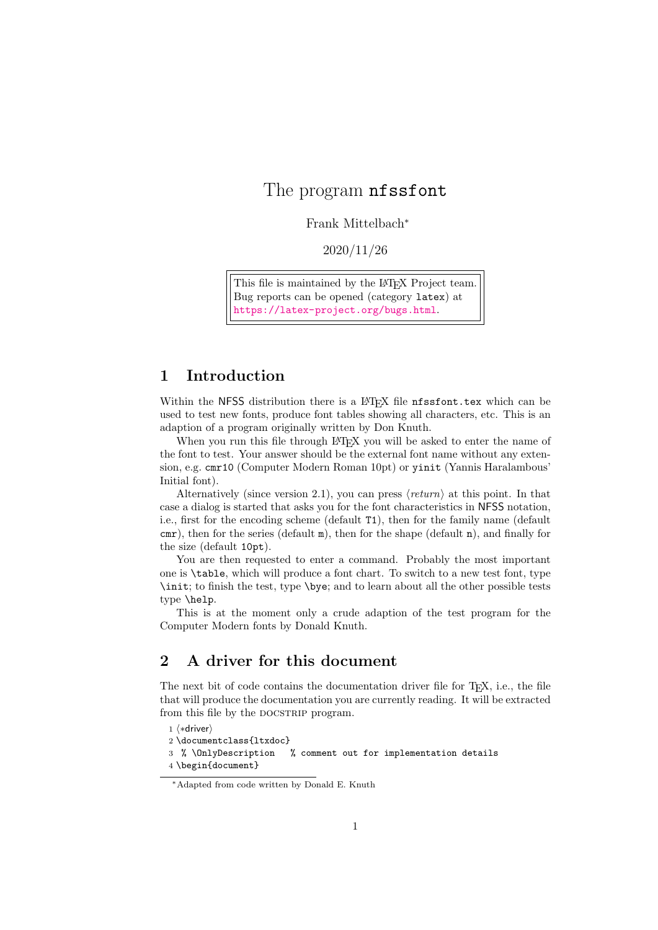## The program **nfssfont**

Frank Mittelbach<sup>∗</sup>

2020/11/26

This file is maintained by the L<sup>AT</sup>EX Project team. Bug reports can be opened (category latex) at <https://latex-project.org/bugs.html>.

## 1 Introduction

Within the NFSS distribution there is a L<sup>AT</sup>EX file nfssfont.tex which can be used to test new fonts, produce font tables showing all characters, etc. This is an adaption of a program originally written by Don Knuth.

When you run this file through LATEX you will be asked to enter the name of the font to test. Your answer should be the external font name without any extension, e.g. cmr10 (Computer Modern Roman 10pt) or yinit (Yannis Haralambous' Initial font).

Alternatively (since version 2.1), you can press  $\langle return \rangle$  at this point. In that case a dialog is started that asks you for the font characteristics in NFSS notation, i.e., first for the encoding scheme (default T1), then for the family name (default cmr), then for the series (default m), then for the shape (default n), and finally for the size (default 10pt).

You are then requested to enter a command. Probably the most important one is \table, which will produce a font chart. To switch to a new test font, type \init; to finish the test, type \bye; and to learn about all the other possible tests type \help.

This is at the moment only a crude adaption of the test program for the Computer Modern fonts by Donald Knuth.

## 2 A driver for this document

The next bit of code contains the documentation driver file for T<sub>E</sub>X, i.e., the file that will produce the documentation you are currently reading. It will be extracted from this file by the DOCSTRIP program.

```
1 ⟨∗driver⟩
```
2 \documentclass{ltxdoc}

3 % \OnlyDescription % comment out for implementation details

4 \begin{document}

<sup>∗</sup>Adapted from code written by Donald E. Knuth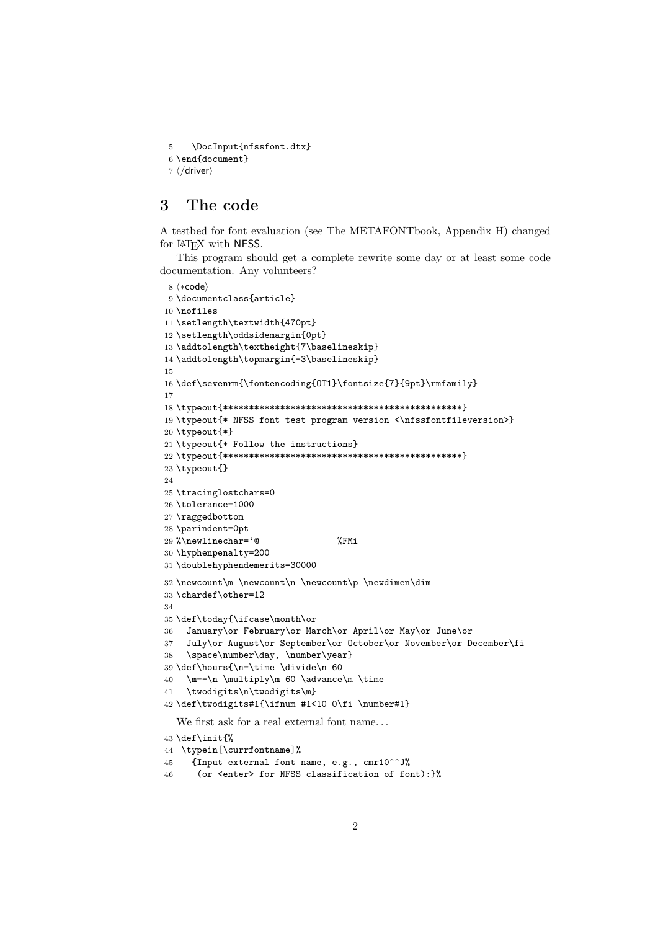\DocInput{nfssfont.dtx}

```
6 \end{document}
7 ⟨/driver⟩
```
## 3 The code

A testbed for font evaluation (see The METAFONTbook, Appendix H) changed for LAT<sub>EX</sub> with NFSS.

This program should get a complete rewrite some day or at least some code documentation. Any volunteers?

```
8 ⟨∗code⟩
9 \documentclass{article}
10 \nofiles
11 \setlength\textwidth{470pt}
12 \setlength\oddsidemargin{0pt}
13 \addtolength\textheight{7\baselineskip}
14 \addtolength\topmargin{-3\baselineskip}
15
16 \def\sevenrm{\fontencoding{OT1}\fontsize{7}{9pt}\rmfamily}
17
18 \typeout{**********************************************}
19 \typeout{* NFSS font test program version <\nfssfontfileversion>}
20 \typeout{*}
21 \typeout{* Follow the instructions}
22 \typeout{**********************************************}
23 \typeout{}
24
25 \tracinglostchars=0
26 \tolerance=1000
27 \raggedbottom
28 \parindent=0pt
29 %\newlinechar='@ %FMi
30 \hyphenpenalty=200
31 \doublehyphendemerits=30000
32 \newcount\m \newcount\n \newcount\p \newdimen\dim
33 \chardef\other=12
34
35 \def\today{\ifcase\month\or
36 January\or February\or March\or April\or May\or June\or
37 July\or August\or September\or October\or November\or December\fi
38 \space\number\day, \number\year}
39 \def\hours{\n=\time \divide\n 60
40 \text{ m}=-\n \hbox{multiply\m 60} \advance\m \time41 \twodigits\n\twodigits\m}
42 \def\twodigits#1{\ifnum #1<10 0\fi \number#1}
  We first ask for a real external font name. . .
43 \def\init{%
44 \typein[\currfontname]%
45 {Input external font name, e.g., cmr10^^J%
```

```
46 (or <enter> for NFSS classification of font):}%
```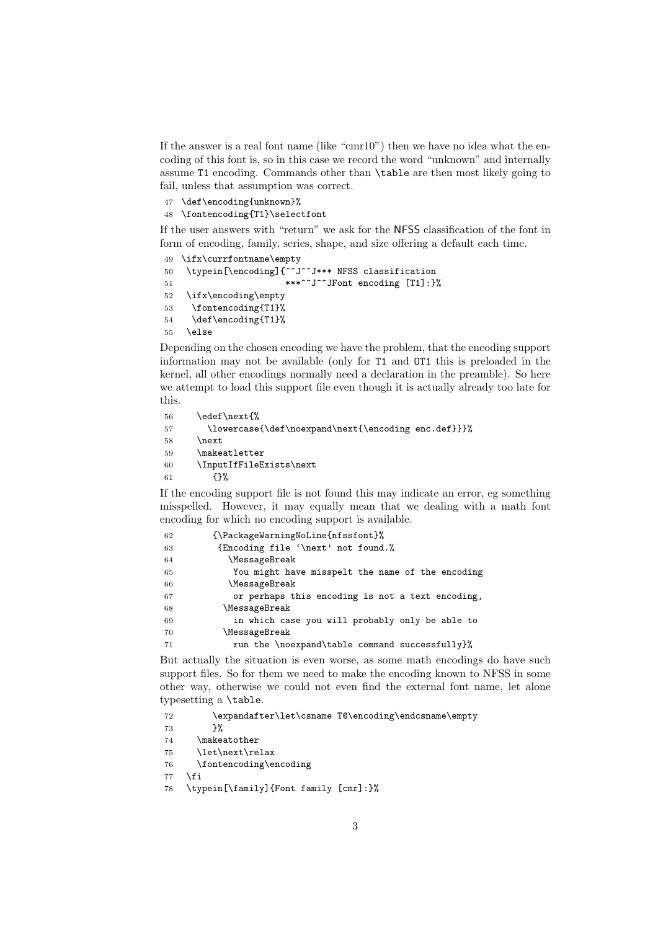If the answer is a real font name (like "cmr10") then we have no idea what the encoding of this font is, so in this case we record the word "unknown" and internally assume T1 encoding. Commands other than \table are then most likely going to fail, unless that assumption was correct.

 \def\encoding{unknown}% \fontencoding{T1}\selectfont

If the user answers with "return" we ask for the NFSS classification of the font in form of encoding, family, series, shape, and size offering a default each time.

```
49 \ifx\currfontname\empty
50 \typein[\encoding]{^^J^^J*** NFSS classification
51 ***^^J^^JFont encoding [T1]:}%
52 \ifx\encoding\empty
53 \fontencoding{T1}%
54 \def\encoding{T1}%
55 \else
```
Depending on the chosen encoding we have the problem, that the encoding support information may not be available (only for T1 and OT1 this is preloaded in the kernel, all other encodings normally need a declaration in the preamble). So here we attempt to load this support file even though it is actually already too late for this.

```
56 \edef\next{%
57 \lowercase{\def\noexpand\next{\encoding enc.def}}}%
58 \next
59 \makeatletter
60 \InputIfFileExists\next
61 \{ \}%
```
If the encoding support file is not found this may indicate an error, eg something misspelled. However, it may equally mean that we dealing with a math font encoding for which no encoding support is available.

| 62 | {\PackageWarningNoLine{nfssfont}%                |
|----|--------------------------------------------------|
| 63 | {Encoding file '\next' not found.%               |
| 64 | <i>MessageBreak</i>                              |
| 65 | You might have misspelt the name of the encoding |
| 66 | <i>MessageBreak</i>                              |
| 67 | or perhaps this encoding is not a text encoding, |
| 68 | \MessageBreak                                    |
| 69 | in which case you will probably only be able to  |
| 70 | \MessageBreak                                    |
| 71 | run the \noexpand\table command successfully}%   |

But actually the situation is even worse, as some math encodings do have such support files. So for them we need to make the encoding known to NFSS in some other way, otherwise we could not even find the external font name, let alone typesetting a \table.

```
72 \expandafter\let\csname T@\encoding\endcsname\empty
```

```
73 }%
```

```
74 \makeatother
```
- \let\next\relax
- \fontencoding\encoding
- \fi
- \typein[\family]{Font family [cmr]:}%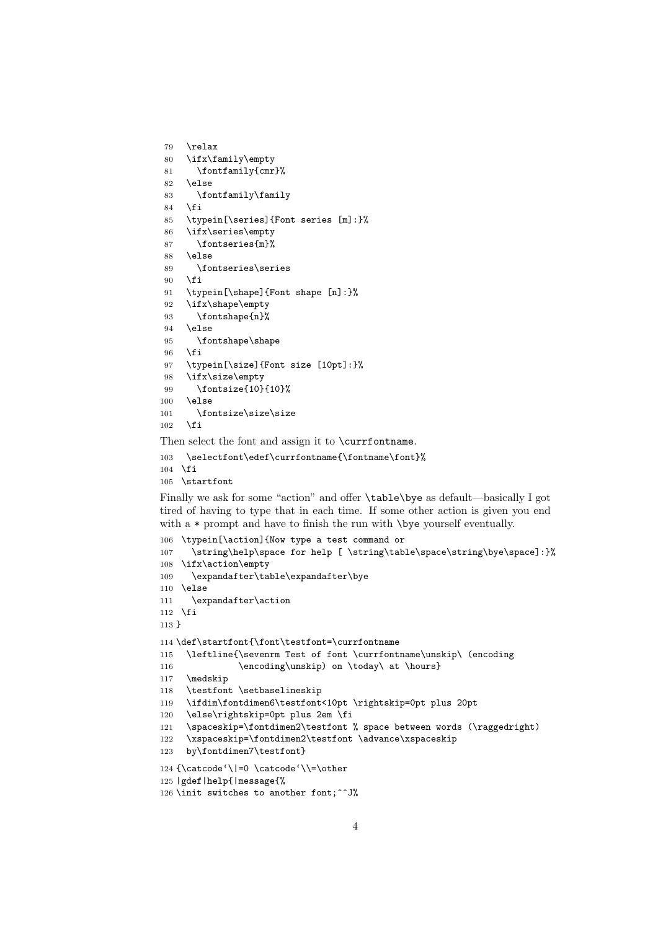```
79 \relax
80 \ifx\family\empty
81 \fontfamily{cmr}%
82 \else
83 \fontfamily\family
84 \fi
85 \typein[\series]{Font series [m]:}%
86 \ifx\series\empty
87 \fontseries{m}%
88 \else
89 \fontseries\series
90 \quad \text{Vfi}91 \typein[\shape]{Font shape [n]:}%
92 \ifx\shape\empty
93 \fontshape{n}%
94 \else
95 \fontshape\shape
96 \fi
97 \typein[\size]{Font size [10pt]:}%
98 \ifx\size\empty
99 \fontsize{10}{10}%
100 \text{ kg}101 \fontsize\size\size
102 \quad \text{if}
```
Then select the font and assign it to \currfontname.

```
103 \selectfont\edef\currfontname{\fontname\font}%
104 \fi
```

```
105 \startfont
```
Finally we ask for some "action" and offer \table\bye as default—basically I got tired of having to type that in each time. If some other action is given you end with a  $*$  prompt and have to finish the run with  $\begin{cases} \frac{1}{\sqrt{2}} & \text{if } x \leq 1 \end{cases}$ 

```
106 \typein[\action]{Now type a test command or
107 \string\help\space for help [ \string\table\space\string\bye\space]:}%
108 \ifx\action\empty
109 \expandafter\table\expandafter\bye
110 \else
111 \expandafter\action
112 \fi
113 }
114 \def\startfont{\font\testfont=\currfontname
115 \leftline{\sevenrm Test of font \currfontname\unskip\ (encoding
116 \encoding\unskip) on \today\ at \hours}
117 \medskip
118 \testfont \setbaselineskip
119 \ifdim\fontdimen6\testfont<10pt \rightskip=0pt plus 20pt
120 \else\rightskip=0pt plus 2em \fi
121 \spaceskip=\fontdimen2\testfont % space between words (\raggedright)
122 \xspaceskip=\fontdimen2\testfont \advance\xspaceskip
123 by\fontdimen7\testfont}
124 \{\catcode'\|=0 \ \catcode'\\= \other125 |gdef|help{|message{%
126 \init switches to another font;^^J%
```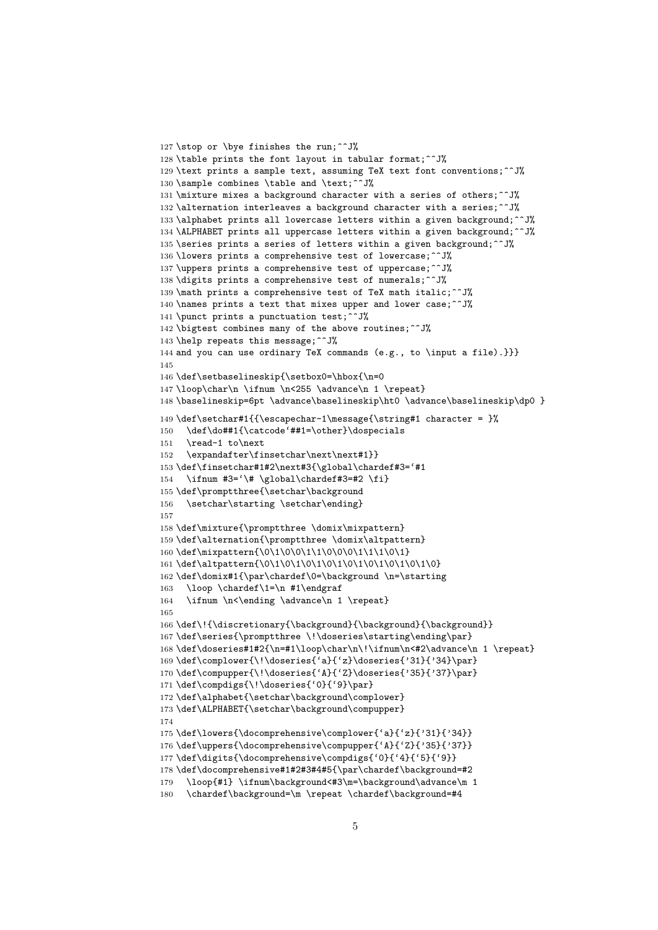```
127 \stop or \bye finishes the run;^^J%
128 \table prints the font layout in tabular format;^^J%
129 \text prints a sample text, assuming TeX text font conventions;^^J%
130 \sample combines \table and \text;^^J%
131 \mixture mixes a background character with a series of others;^^J%
132 \alternation interleaves a background character with a series;^^J%
133 \alphabet prints all lowercase letters within a given background;^^J%
134 \ALPHABET prints all uppercase letters within a given background;^^J%
135 \series prints a series of letters within a given background;\hat{ }"
136 \lowers prints a comprehensive test of lowercase;^^J%
137 \uppers prints a comprehensive test of uppercase;^^J%
138 \digits prints a comprehensive test of numerals;^^J%
139 \math prints a comprehensive test of TeX math italic;^^J%
140 \names prints a text that mixes upper and lower case;\hat{ } J%
141 \punct prints a punctuation test;^^J%
142 \bigtest combines many of the above routines;\hat{ }143 \help repeats this message; ^^J%
144 and you can use ordinary TeX commands (e.g., to \input a file).}}}
145
146 \def\setbaselineskip{\setbox0=\hbox{\n=0
147 \loop\char\n \ifnum \n<255 \advance\n 1 \repeat}
148 \baselineskip=6pt \advance\baselineskip\ht0 \advance\baselineskip\dp0 }
149 \def\setchar#1{{\escapechar-1\message{\string#1 character = \frac{1}{8}150 \def\do##1{\catcode'##1=\other}\dospecials
151 \read-1 to\next
152 \expandafter\finsetchar\next\next#1}}
153 \def\finsetchar#1#2\next#3{\global\chardef#3='#1
154 \ifnum #3='\# \global\chardef#3=#2 \fi}
155 \def\promptthree{\setchar\background
156 \setchar\starting \setchar\ending}
157
158 \def\mixture{\promptthree \domix\mixpattern}
159 \def\alternation{\promptthree \domix\altpattern}
160 \def\mixpattern{\0\1\0\0\1\1\0\0\0\1\1\1\0\1}
161 \def\altpattern{\0\1\0\1\0\1\0\1\0\1\0\1\0\1\0\1\0}
162 \def\domix#1{\par\chardef\0=\background \n=\starting
163 \loop \chardef\1=\n #1\endgraf
164 \ifnum \n<\ending \advance\n 1 \repeat}
165
166 \def\!{\discretionary{\background}{\background}{\background}}
167\def\series{\promptthree \!\doseries\starting\ending\par}
168\def\doseries#1#2{\n=#1\loop\char\n\!\ifnum\n<#2\advance\n 1 \repeat}
169 \def\complower{\!\doseries{'a}{'z}\doseries{'31}{'34}\par}
170 \def\compupper{\!\doseries{'A}{'Z}\doseries{'35}{'37}\par}
171 \def\compdigs{\!\doseries{'0}{'9}\par}
172 \def\alphabet{\setchar\background\complower}
173 \def\ALPHABET{\setchar\background\compupper}
174
175 \def\lowers{\docomprehensive\complower{'a}{'z}{'31}{'34}}
176 \def\uppers{\docomprehensive\compupper{'A}{'Z}{'35}{'37}}
177 \def\digits{\docomprehensive\compdigs{'0}{'4}{'5}{'9}}
178 \def\docomprehensive#1#2#3#4#5{\par\chardef\background=#2
179 \loop{#1} \ifnum\background<#3\m=\background\advance\m 1
180 \chardef\background=\m \repeat \chardef\background=#4
```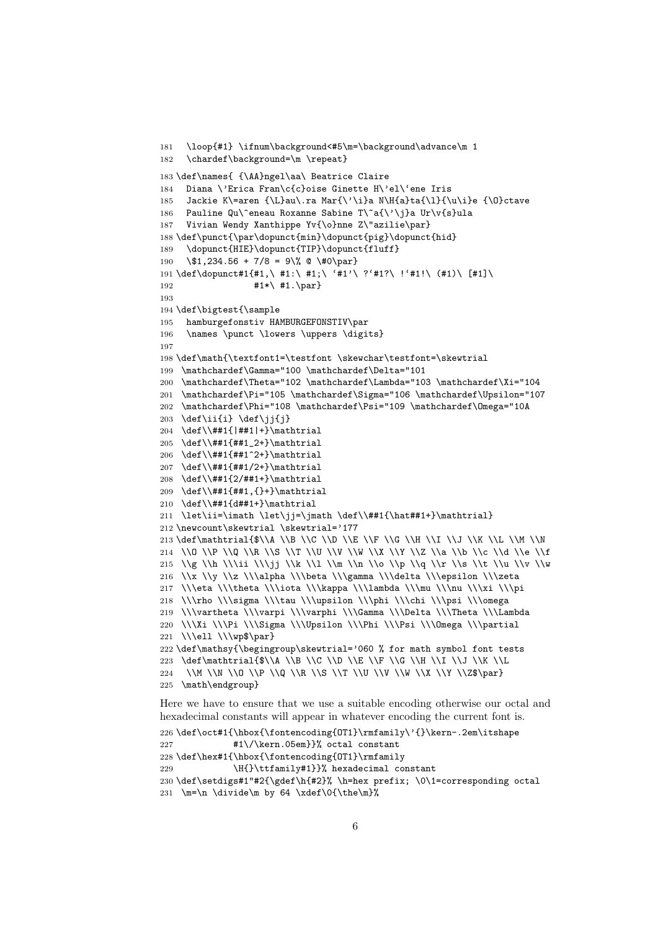```
181 \loop{#1} \ifnum\background<#5\m=\background\advance\m 1
182 \chardef\background=\m \repeat}
183 \def\names{ {\AA}ngel\aa\ Beatrice Claire
184 Diana \'Erica Fran\c{c}oise Ginette H\'el\'ene Iris
185 Jackie K\=aren {\L}au\.ra Mar{\'\i}a N\H{a}ta{\l}{\u\i}e {\O}ctave
186 Pauline Qu\^eneau Roxanne Sabine T\~a{\'\j}a Ur\v{s}ula
187 Vivian Wendy Xanthippe Yv{\o}nne Z\"azilie\par}
188 \def\punct{\par\dopunct{min}\dopunct{pig}\dopunct{hid}
189 \dopunct{HIE}\dopunct{TIP}\dopunct{fluff}
190 \$1,234.56 + 7/8 = 9\% @ \#0\par}
191 \def\dopunct#1{#1,\ #1:\ #1;\ '#1'\ ?'#1?\ !'#1!\ (#1)\ [#1]\
192 #1*\ #1.\n\parrow193
194 \def\bigtest{\sample
195 hamburgefonstiv HAMBURGEFONSTIV\par
196 \names \punct \lowers \uppers \digits}
197
198 \def\math{\textfont1=\testfont \skewchar\testfont=\skewtrial
199 \mathchardef\Gamma="100 \mathchardef\Delta="101
200 \mathchardef\Theta="102 \mathchardef\Lambda="103 \mathchardef\Xi="104
201 \mathchardef\Pi="105 \mathchardef\Sigma="106 \mathchardef\Upsilon="107
202 \mathchardef\Phi="108 \mathchardef\Psi="109 \mathchardef\Omega="10A
203 \def\ii{i} \def\ji{j}
204 \def\\##1{|##1|+}\mathtrial
205 \def\\##1{##1_2+}\mathtrial
206 \def\\##1{##1^2+}\mathtrial
207 \def\\##1{##1/2+}\mathtrial
208 \def\\##1{2/##1+}\mathtrial
209 \def\\##1{##1,{}+}\mathtrial
210 \def\\##1{d##1+}\mathtrial
211 \let\ii=\imath \let\jj=\jmath \def\\##1{\hat##1+}\mathtrial}
212 \newcount\skewtrial \skewtrial='177
213 \def\mathtrial{$\\A \\B \\C \\D \\E \\F \\G \\H \\I \\J \\K \\L \\M \\N
214 \\O \\P \\Q \\R \\S \\T \\U \\V \\W \\X \\Y \\Z \\a \\b \\c \\d \\e \\f
215 \\g \\h \\\ii \\\jj \\k \\1 \\m \\n \\o \\p \\q \\r \\s \\t \\u \\v \\w
216 \\x \\y \\z \\\alpha \\\beta \\\gamma \\\delta \\\epsilon \\\zeta
217 \\\eta \\\theta \\\iota \\\kappa \\\lambda \\\mu \\\nu \\\xi \\\pi
218 \\\rho \\\sigma \\\tau \\\upsilon \\\phi \\\chi \\\psi \\\omega
219 \\\vartheta \\\varpi \\\varphi \\\Gamma \\\Delta \\\Theta \\\Lambda
220 \\\Xi \\\Pi \\\Sigma \\\Upsilon \\\Phi \\\Psi \\\Omega \\\partial
221 \\\ell \\\wp$\par}
222 \def\mathsy{\begingroup\skewtrial='060 % for math symbol font tests
223 \def\mathtrial{$\\A \\B \\C \\D \\E \\F \\G \\H \\I \\J \\K \\L
224 \\M \\N \\O \\P \\Q \\R \\S \\T \\U \\V \\W \\X \\Y \\Z$\par}
225 \math\endgroup}
Here we have to ensure that we use a suitable encoding otherwise our octal and
```
hexadecimal constants will appear in whatever encoding the current font is. 226 \def\oct#1{\hbox{\fontencoding{OT1}\rmfamily\'{}\kern-.2em\itshape 227 #1\/\kern.05em}}% octal constant 228 \def\hex#1{\hbox{\fontencoding{OT1}\rmfamily 229 \H{}\ttfamily#1}}% hexadecimal constant

```
230 \def\setdigs#1"#2{\gdef\h{#2}% \h=hex prefix; \0\1=corresponding octal
231 \m=\n \divide\m by 64 \xdef\0{\the\m}%
```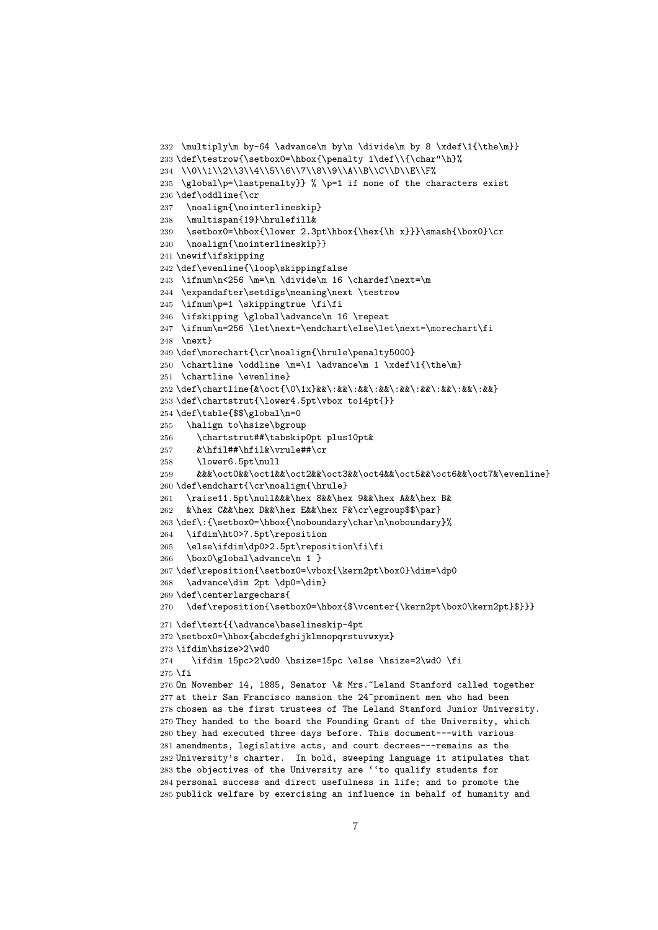```
232 \multiply\m by-64 \advance\m by\n \divide\m by 8 \xdef\1{\the\m}}
233 \def\testrow{\setbox0=\hbox{\penalty 1\def\\{\char"\h}%
234 \\0\\1\\2\\3\\4\\5\\6\\7\\8\\9\\A\\B\\C\\D\\E\\F%
235 \global\p=\lastpenalty}} % \p=1 if none of the characters exist
236 \def\oddline{\cr
237 \noalign{\nointerlineskip}
238 \multispan{19}\hrulefill&
239 \setbox0=\hbox{\lower 2.3pt\hbox{\hex{\h x}}}\smash{\box0}\cr
240 \noalign{\nointerlineskip}}
241 \newif\ifskipping
242 \def\evenline{\loop\skippingfalse
243 \ifnum\n<256 \m=\n \divide\m 16 \chardef\next=\m
244 \expandafter\setdigs\meaning\next \testrow
245 \ifnum\p=1 \skippingtrue \fi\fi
246 \ifskipping \global\advance\n 16 \repeat
247 \ifnum\n=256 \let\next=\endchart\else\let\next=\morechart\fi
248 \next}
249 \def\morechart{\cr\noalign{\hrule\penalty5000}
250 \chartline \oddline \m=\1 \advance\m 1 \xdef\1{\the\m}
251 \chartline \evenline}
252 \def\chartline{&\oct{\0\1x}&&\:&&\:&&\:&&\:&&\:&&\:&&\:&&\:&&}
253 \def\chartstrut{\lower4.5pt\vbox to14pt{}}
254 \def\table{$$\global\n=0
255 \halign to\hsize\bgroup
256 \chartstrut##\tabskip0pt plus10pt&
257 &\hfil##\hfil&\vrule##\cr
258 \lower6.5pt\null
259 &&&\oct0&&\oct1&&\oct2&&\oct3&&\oct4&&\oct5&&\oct6&&\oct7&\evenline}
260 \def\endchart{\cr\noalign{\hrule}
261 \raise11.5pt\null&&&\hex 8&&\hex 9&&\hex A&&\hex B&
262 &\hex C&&\hex D&&\hex E&&\hex F&\cr\egroup$$\par}
263\def\:{\setbox0=\hbox{\noboundary\char\n\noboundary}%
264 \ifdim\ht0>7.5pt\reposition
265 \else\ifdim\dp0>2.5pt\reposition\fi\fi
266 \box0\global\advance\n 1 }
267 \def\reposition{\setbox0=\vbox{\kern2pt\box0}\dim=\dp0
268 \advance\dim 2pt \dp0=\dim}
269 \def\centerlargechars{
270 \def\reposition{\setbox0=\hbox{$\vcenter{\kern2pt\box0\kern2pt}$}}}
271 \def\text{{\advance\baselineskip-4pt
272 \setbox0=\hbox{abcdefghijklmnopqrstuvwxyz}
273 \ifdim\hsize>2\wd0
274 \ifdim 15pc>2\wd0 \hsize=15pc \else \hsize=2\wd0 \fi
275 \fi
276 On November 14, 1885, Senator \& Mrs.~Leland Stanford called together
277 at their San Francisco mansion the 24~prominent men who had been
278 chosen as the first trustees of The Leland Stanford Junior University.
279 They handed to the board the Founding Grant of the University, which
280 they had executed three days before. This document---with various
281 amendments, legislative acts, and court decrees---remains as the
282 University's charter. In bold, sweeping language it stipulates that
283 the objectives of the University are ''to qualify students for
284 personal success and direct usefulness in life; and to promote the
285 publick welfare by exercising an influence in behalf of humanity and
```

```
7
```